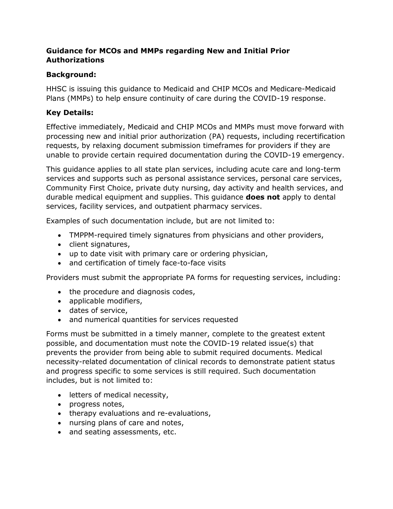### **Guidance for MCOs and MMPs regarding New and Initial Prior Authorizations**

## **Background:**

HHSC is issuing this guidance to Medicaid and CHIP MCOs and Medicare-Medicaid Plans (MMPs) to help ensure continuity of care during the COVID-19 response.

# **Key Details:**

Effective immediately, Medicaid and CHIP MCOs and MMPs must move forward with processing new and initial prior authorization (PA) requests, including recertification requests, by relaxing document submission timeframes for providers if they are unable to provide certain required documentation during the COVID-19 emergency.

This guidance applies to all state plan services, including acute care and long-term services and supports such as personal assistance services, personal care services, Community First Choice, private duty nursing, day activity and health services, and durable medical equipment and supplies. This guidance **does not** apply to dental services, facility services, and outpatient pharmacy services.

Examples of such documentation include, but are not limited to:

- TMPPM-required timely signatures from physicians and other providers,
- client signatures,
- up to date visit with primary care or ordering physician,
- and certification of timely face-to-face visits

Providers must submit the appropriate PA forms for requesting services, including:

- the procedure and diagnosis codes,
- applicable modifiers,
- dates of service,
- and numerical quantities for services requested

Forms must be submitted in a timely manner, complete to the greatest extent possible, and documentation must note the COVID-19 related issue(s) that prevents the provider from being able to submit required documents. Medical necessity-related documentation of clinical records to demonstrate patient status and progress specific to some services is still required. Such documentation includes, but is not limited to:

- letters of medical necessity,
- progress notes,
- therapy evaluations and re-evaluations,
- nursing plans of care and notes,
- and seating assessments, etc.